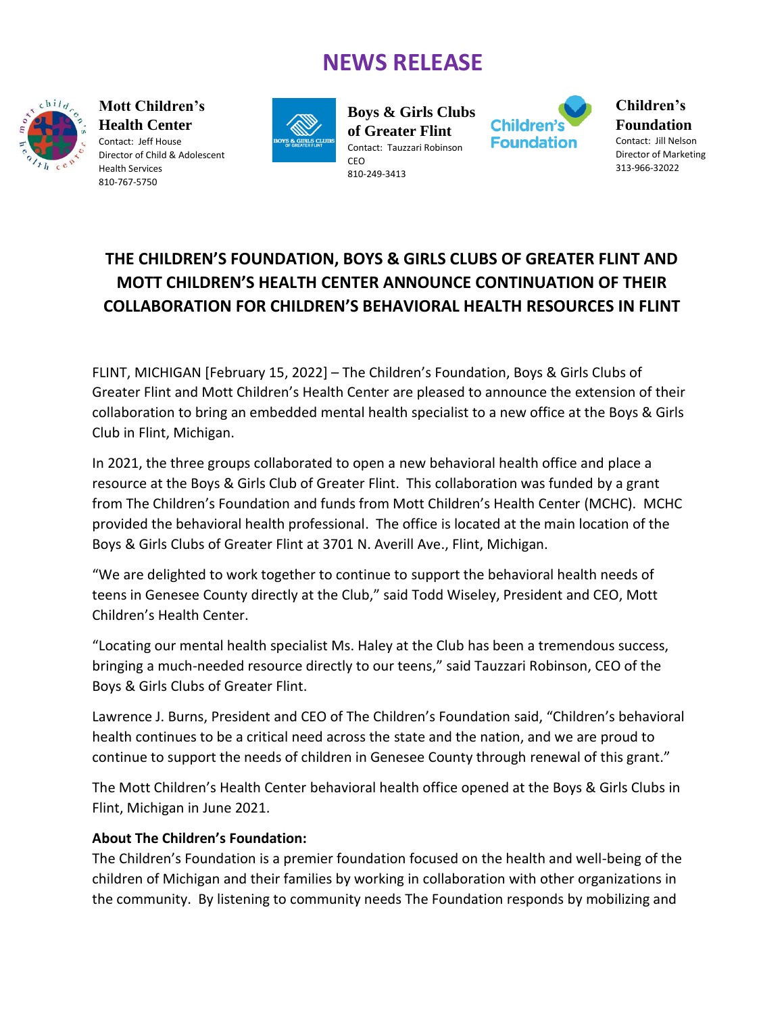# **NEWS RELEASE**



**Mott Children's Health Center** Contact: Jeff House Director of Child & Adolescent Health Services 810-767-5750



**Boys & Girls Clubs of Greater Flint** Contact: Tauzzari Robinson **CEO** 810-249-3413



**Children's Foundation** Contact: Jill Nelson Director of Marketing 313-966-32022

### **THE CHILDREN'S FOUNDATION, BOYS & GIRLS CLUBS OF GREATER FLINT AND MOTT CHILDREN'S HEALTH CENTER ANNOUNCE CONTINUATION OF THEIR COLLABORATION FOR CHILDREN'S BEHAVIORAL HEALTH RESOURCES IN FLINT**

FLINT, MICHIGAN [February 15, 2022] – The Children's Foundation, Boys & Girls Clubs of Greater Flint and Mott Children's Health Center are pleased to announce the extension of their collaboration to bring an embedded mental health specialist to a new office at the Boys & Girls Club in Flint, Michigan.

In 2021, the three groups collaborated to open a new behavioral health office and place a resource at the Boys & Girls Club of Greater Flint. This collaboration was funded by a grant from The Children's Foundation and funds from Mott Children's Health Center (MCHC). MCHC provided the behavioral health professional. The office is located at the main location of the Boys & Girls Clubs of Greater Flint at 3701 N. Averill Ave., Flint, Michigan.

"We are delighted to work together to continue to support the behavioral health needs of teens in Genesee County directly at the Club," said Todd Wiseley, President and CEO, Mott Children's Health Center.

"Locating our mental health specialist Ms. Haley at the Club has been a tremendous success, bringing a much-needed resource directly to our teens," said Tauzzari Robinson, CEO of the Boys & Girls Clubs of Greater Flint.

Lawrence J. Burns, President and CEO of The Children's Foundation said, "Children's behavioral health continues to be a critical need across the state and the nation, and we are proud to continue to support the needs of children in Genesee County through renewal of this grant."

The Mott Children's Health Center behavioral health office opened at the Boys & Girls Clubs in Flint, Michigan in June 2021.

#### **About The Children's Foundation:**

The Children's Foundation is a premier foundation focused on the health and well-being of the children of Michigan and their families by working in collaboration with other organizations in the community. By listening to community needs The Foundation responds by mobilizing and